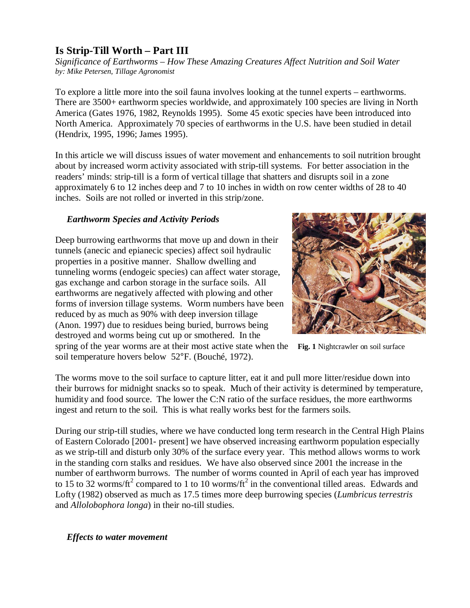# **Is Strip-Till Worth – Part III**

*Significance of Earthworms – How These Amazing Creatures Affect Nutrition and Soil Water by: Mike Petersen, Tillage Agronomist*

To explore a little more into the soil fauna involves looking at the tunnel experts – earthworms. There are 3500+ earthworm species worldwide, and approximately 100 species are living in North America (Gates 1976, 1982, Reynolds 1995). Some 45 exotic species have been introduced into North America. Approximately 70 species of earthworms in the U.S. have been studied in detail (Hendrix, 1995, 1996; James 1995).

In this article we will discuss issues of water movement and enhancements to soil nutrition brought about by increased worm activity associated with strip-till systems. For better association in the readers' minds: strip-till is a form of vertical tillage that shatters and disrupts soil in a zone approximately 6 to 12 inches deep and 7 to 10 inches in width on row center widths of 28 to 40 inches. Soils are not rolled or inverted in this strip/zone.

## *Earthworm Species and Activity Periods*

Deep burrowing earthworms that move up and down in their tunnels (anecic and epianecic species) affect soil hydraulic properties in a positive manner. Shallow dwelling and tunneling worms (endogeic species) can affect water storage, gas exchange and carbon storage in the surface soils. All earthworms are negatively affected with plowing and other forms of inversion tillage systems. Worm numbers have been reduced by as much as 90% with deep inversion tillage (Anon. 1997) due to residues being buried, burrows being destroyed and worms being cut up or smothered. In the spring of the year worms are at their most active state when the **Fig. 1** Nightcrawler on soil surface soil temperature hovers below 52°F. (Bouché, 1972).



The worms move to the soil surface to capture litter, eat it and pull more litter/residue down into their burrows for midnight snacks so to speak. Much of their activity is determined by temperature, humidity and food source. The lower the C:N ratio of the surface residues, the more earthworms ingest and return to the soil. This is what really works best for the farmers soils.

During our strip-till studies, where we have conducted long term research in the Central High Plains of Eastern Colorado [2001- present] we have observed increasing earthworm population especially as we strip-till and disturb only 30% of the surface every year. This method allows worms to work in the standing corn stalks and residues. We have also observed since 2001 the increase in the number of earthworm burrows. The number of worms counted in April of each year has improved to 15 to 32 worms/ft<sup>2</sup> compared to 1 to 10 worms/ft<sup>2</sup> in the conventional tilled areas. Edwards and Lofty (1982) observed as much as 17.5 times more deep burrowing species (*Lumbricus terrestris* and *Allolobophora longa*) in their no-till studies.

 *Effects to water movement*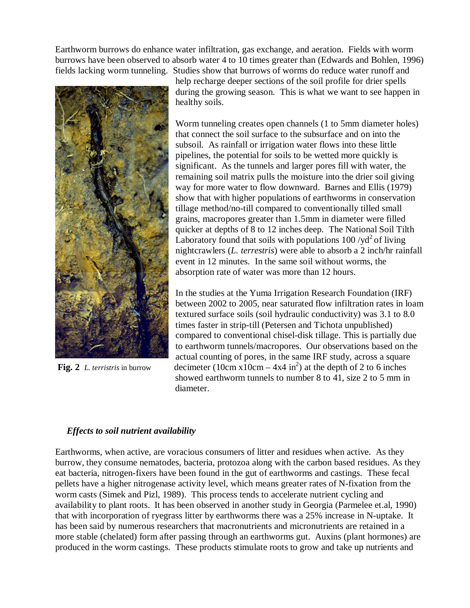Earthworm burrows do enhance water infiltration, gas exchange, and aeration. Fields with worm burrows have been observed to absorb water 4 to 10 times greater than (Edwards and Bohlen, 1996) fields lacking worm tunneling. Studies show that burrows of worms do reduce water runoff and



help recharge deeper sections of the soil profile for drier spells during the growing season. This is what we want to see happen in healthy soils.

Worm tunneling creates open channels (1 to 5mm diameter holes) that connect the soil surface to the subsurface and on into the subsoil. As rainfall or irrigation water flows into these little pipelines, the potential for soils to be wetted more quickly is significant. As the tunnels and larger pores fill with water, the remaining soil matrix pulls the moisture into the drier soil giving way for more water to flow downward. Barnes and Ellis (1979) show that with higher populations of earthworms in conservation tillage method/no-till compared to conventionally tilled small grains, macropores greater than 1.5mm in diameter were filled quicker at depths of 8 to 12 inches deep. The National Soil Tilth Laboratory found that soils with populations  $100 /yd^2$  of living nightcrawlers (*L. terrestris*) were able to absorb a 2 inch/hr rainfall event in 12 minutes. In the same soil without worms, the absorption rate of water was more than 12 hours.

In the studies at the Yuma Irrigation Research Foundation (IRF) between 2002 to 2005, near saturated flow infiltration rates in loam textured surface soils (soil hydraulic conductivity) was 3.1 to 8.0 times faster in strip-till (Petersen and Tichota unpublished) compared to conventional chisel-disk tillage. This is partially due to earthworm tunnels/macropores. Our observations based on the actual counting of pores, in the same IRF study, across a square **Fig. 2** *L. terristris* in burrow decimeter  $(10 \text{cm} \times 10 \text{cm} - 4 \times 4 \text{ in}^2)$  at the depth of 2 to 6 inches showed earthworm tunnels to number 8 to 41, size 2 to 5 mm in diameter.

#### *Effects to soil nutrient availability*

Earthworms, when active, are voracious consumers of litter and residues when active. As they burrow, they consume nematodes, bacteria, protozoa along with the carbon based residues. As they eat bacteria, nitrogen-fixers have been found in the gut of earthworms and castings. These fecal pellets have a higher nitrogenase activity level, which means greater rates of N-fixation from the worm casts (Simek and Pizl, 1989). This process tends to accelerate nutrient cycling and availability to plant roots. It has been observed in another study in Georgia (Parmelee et.al, 1990) that with incorporation of ryegrass litter by earthworms there was a 25% increase in N-uptake. It has been said by numerous researchers that macronutrients and micronutrients are retained in a more stable (chelated) form after passing through an earthworms gut. Auxins (plant hormones) are produced in the worm castings. These products stimulate roots to grow and take up nutrients and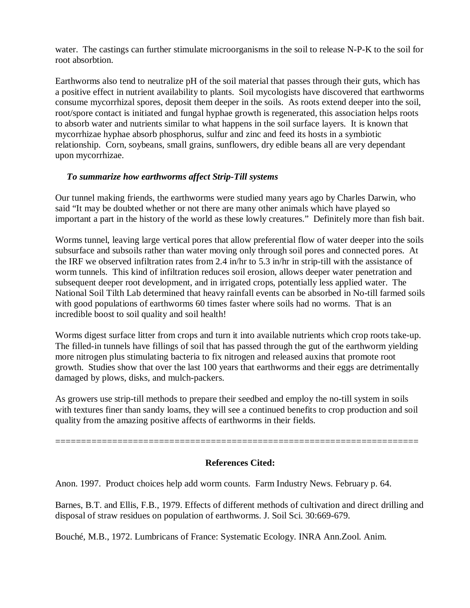water. The castings can further stimulate microorganisms in the soil to release N-P-K to the soil for root absorbtion.

Earthworms also tend to neutralize pH of the soil material that passes through their guts, which has a positive effect in nutrient availability to plants. Soil mycologists have discovered that earthworms consume mycorrhizal spores, deposit them deeper in the soils. As roots extend deeper into the soil, root/spore contact is initiated and fungal hyphae growth is regenerated, this association helps roots to absorb water and nutrients similar to what happens in the soil surface layers. It is known that mycorrhizae hyphae absorb phosphorus, sulfur and zinc and feed its hosts in a symbiotic relationship. Corn, soybeans, small grains, sunflowers, dry edible beans all are very dependant upon mycorrhizae.

## *To summarize how earthworms affect Strip-Till systems*

Our tunnel making friends, the earthworms were studied many years ago by Charles Darwin, who said "It may be doubted whether or not there are many other animals which have played so important a part in the history of the world as these lowly creatures." Definitely more than fish bait.

Worms tunnel, leaving large vertical pores that allow preferential flow of water deeper into the soils subsurface and subsoils rather than water moving only through soil pores and connected pores. At the IRF we observed infiltration rates from 2.4 in/hr to 5.3 in/hr in strip-till with the assistance of worm tunnels. This kind of infiltration reduces soil erosion, allows deeper water penetration and subsequent deeper root development, and in irrigated crops, potentially less applied water. The National Soil Tilth Lab determined that heavy rainfall events can be absorbed in No-till farmed soils with good populations of earthworms 60 times faster where soils had no worms. That is an incredible boost to soil quality and soil health!

Worms digest surface litter from crops and turn it into available nutrients which crop roots take-up. The filled-in tunnels have fillings of soil that has passed through the gut of the earthworm yielding more nitrogen plus stimulating bacteria to fix nitrogen and released auxins that promote root growth. Studies show that over the last 100 years that earthworms and their eggs are detrimentally damaged by plows, disks, and mulch-packers.

As growers use strip-till methods to prepare their seedbed and employ the no-till system in soils with textures finer than sandy loams, they will see a continued benefits to crop production and soil quality from the amazing positive affects of earthworms in their fields.

# **References Cited:**

======================================================================

Anon. 1997. Product choices help add worm counts. Farm Industry News. February p. 64.

Barnes, B.T. and Ellis, F.B., 1979. Effects of different methods of cultivation and direct drilling and disposal of straw residues on population of earthworms. J. Soil Sci. 30:669-679.

Bouché, M.B., 1972. Lumbricans of France: Systematic Ecology. INRA Ann.Zool. Anim.